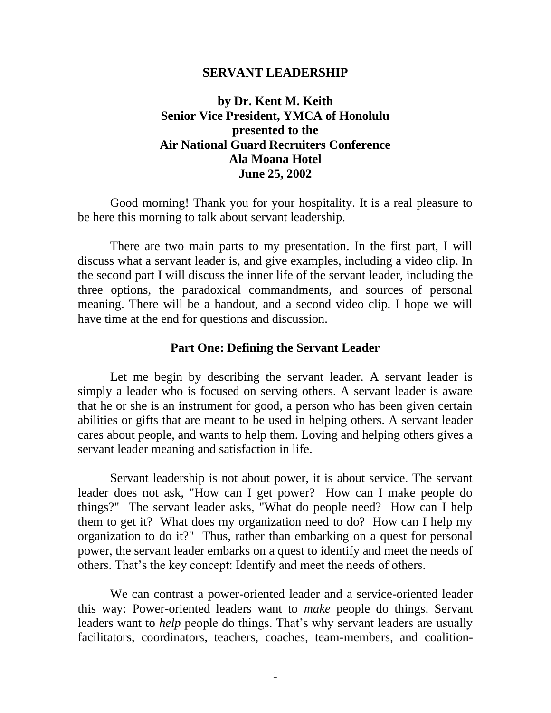#### **SERVANT LEADERSHIP**

# **by Dr. Kent M. Keith Senior Vice President, YMCA of Honolulu presented to the Air National Guard Recruiters Conference Ala Moana Hotel June 25, 2002**

Good morning! Thank you for your hospitality. It is a real pleasure to be here this morning to talk about servant leadership.

There are two main parts to my presentation. In the first part, I will discuss what a servant leader is, and give examples, including a video clip. In the second part I will discuss the inner life of the servant leader, including the three options, the paradoxical commandments, and sources of personal meaning. There will be a handout, and a second video clip. I hope we will have time at the end for questions and discussion.

#### **Part One: Defining the Servant Leader**

Let me begin by describing the servant leader. A servant leader is simply a leader who is focused on serving others. A servant leader is aware that he or she is an instrument for good, a person who has been given certain abilities or gifts that are meant to be used in helping others. A servant leader cares about people, and wants to help them. Loving and helping others gives a servant leader meaning and satisfaction in life.

Servant leadership is not about power, it is about service. The servant leader does not ask, "How can I get power? How can I make people do things?" The servant leader asks, "What do people need? How can I help them to get it? What does my organization need to do? How can I help my organization to do it?" Thus, rather than embarking on a quest for personal power, the servant leader embarks on a quest to identify and meet the needs of others. That's the key concept: Identify and meet the needs of others.

We can contrast a power-oriented leader and a service-oriented leader this way: Power-oriented leaders want to *make* people do things. Servant leaders want to *help* people do things. That's why servant leaders are usually facilitators, coordinators, teachers, coaches, team-members, and coalition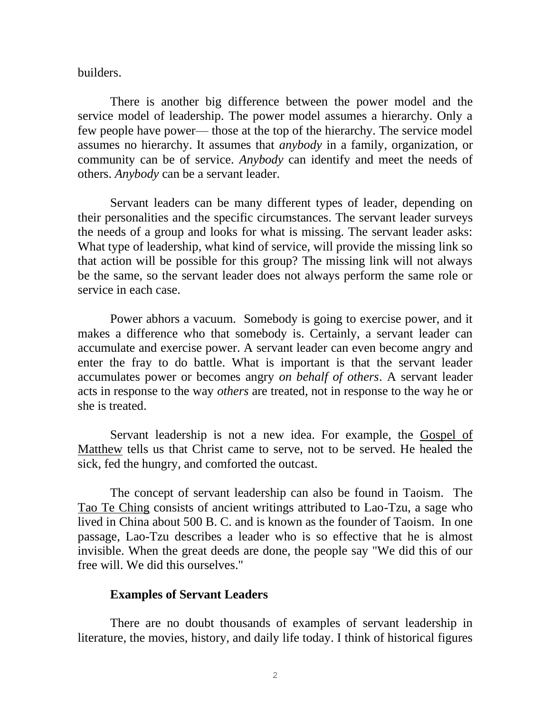builders.

There is another big difference between the power model and the service model of leadership. The power model assumes a hierarchy. Only a few people have power— those at the top of the hierarchy. The service model assumes no hierarchy. It assumes that *anybody* in a family, organization, or community can be of service. *Anybody* can identify and meet the needs of others. *Anybody* can be a servant leader.

Servant leaders can be many different types of leader, depending on their personalities and the specific circumstances. The servant leader surveys the needs of a group and looks for what is missing. The servant leader asks: What type of leadership, what kind of service, will provide the missing link so that action will be possible for this group? The missing link will not always be the same, so the servant leader does not always perform the same role or service in each case.

Power abhors a vacuum. Somebody is going to exercise power, and it makes a difference who that somebody is. Certainly, a servant leader can accumulate and exercise power. A servant leader can even become angry and enter the fray to do battle. What is important is that the servant leader accumulates power or becomes angry *on behalf of others*. A servant leader acts in response to the way *others* are treated, not in response to the way he or she is treated.

Servant leadership is not a new idea. For example, the Gospel of Matthew tells us that Christ came to serve, not to be served. He healed the sick, fed the hungry, and comforted the outcast.

The concept of servant leadership can also be found in Taoism. The Tao Te Ching consists of ancient writings attributed to Lao-Tzu, a sage who lived in China about 500 B. C. and is known as the founder of Taoism. In one passage, Lao-Tzu describes a leader who is so effective that he is almost invisible. When the great deeds are done, the people say "We did this of our free will. We did this ourselves."

### **Examples of Servant Leaders**

There are no doubt thousands of examples of servant leadership in literature, the movies, history, and daily life today. I think of historical figures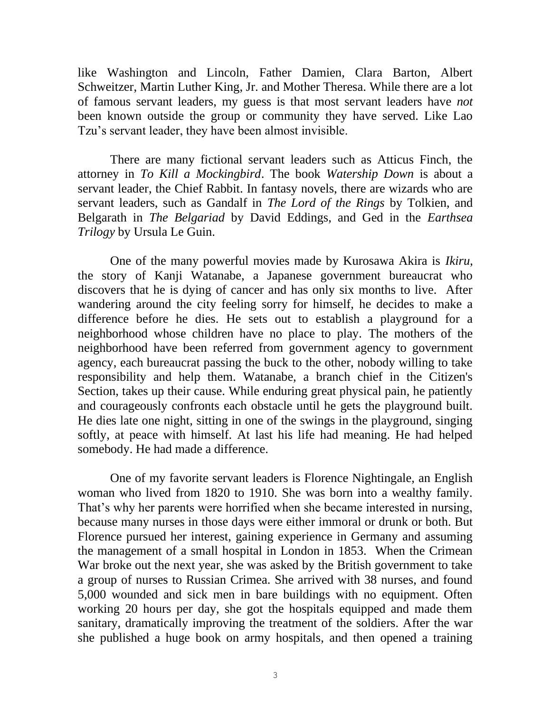like Washington and Lincoln, Father Damien, Clara Barton, Albert Schweitzer, Martin Luther King, Jr. and Mother Theresa. While there are a lot of famous servant leaders, my guess is that most servant leaders have *not* been known outside the group or community they have served. Like Lao Tzu's servant leader, they have been almost invisible.

There are many fictional servant leaders such as Atticus Finch, the attorney in *To Kill a Mockingbird*. The book *Watership Down* is about a servant leader, the Chief Rabbit. In fantasy novels, there are wizards who are servant leaders, such as Gandalf in *The Lord of the Rings* by Tolkien, and Belgarath in *The Belgariad* by David Eddings, and Ged in the *Earthsea Trilogy* by Ursula Le Guin.

One of the many powerful movies made by Kurosawa Akira is *Ikiru*, the story of Kanji Watanabe, a Japanese government bureaucrat who discovers that he is dying of cancer and has only six months to live. After wandering around the city feeling sorry for himself, he decides to make a difference before he dies. He sets out to establish a playground for a neighborhood whose children have no place to play. The mothers of the neighborhood have been referred from government agency to government agency, each bureaucrat passing the buck to the other, nobody willing to take responsibility and help them. Watanabe, a branch chief in the Citizen's Section, takes up their cause. While enduring great physical pain, he patiently and courageously confronts each obstacle until he gets the playground built. He dies late one night, sitting in one of the swings in the playground, singing softly, at peace with himself. At last his life had meaning. He had helped somebody. He had made a difference.

One of my favorite servant leaders is Florence Nightingale, an English woman who lived from 1820 to 1910. She was born into a wealthy family. That's why her parents were horrified when she became interested in nursing, because many nurses in those days were either immoral or drunk or both. But Florence pursued her interest, gaining experience in Germany and assuming the management of a small hospital in London in 1853. When the Crimean War broke out the next year, she was asked by the British government to take a group of nurses to Russian Crimea. She arrived with 38 nurses, and found 5,000 wounded and sick men in bare buildings with no equipment. Often working 20 hours per day, she got the hospitals equipped and made them sanitary, dramatically improving the treatment of the soldiers. After the war she published a huge book on army hospitals, and then opened a training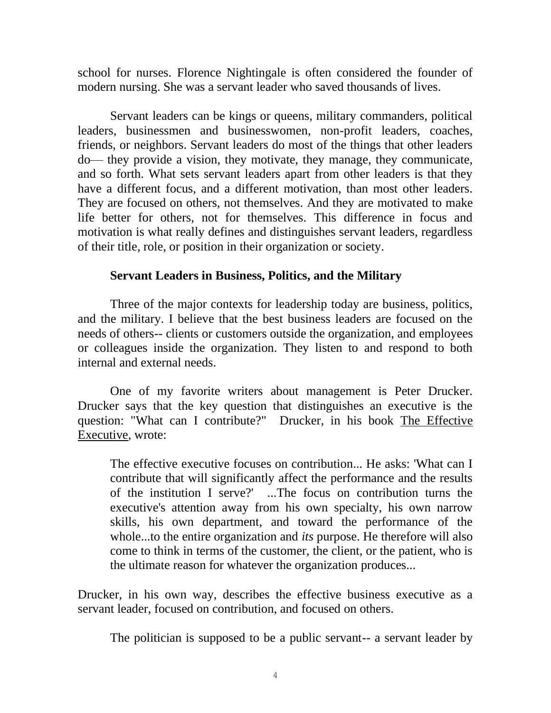school for nurses. Florence Nightingale is often considered the founder of modern nursing. She was a servant leader who saved thousands of lives.

Servant leaders can be kings or queens, military commanders, political leaders, businessmen and businesswomen, non-profit leaders, coaches, friends, or neighbors. Servant leaders do most of the things that other leaders do— they provide a vision, they motivate, they manage, they communicate, and so forth. What sets servant leaders apart from other leaders is that they have a different focus, and a different motivation, than most other leaders. They are focused on others, not themselves. And they are motivated to make life better for others, not for themselves. This difference in focus and motivation is what really defines and distinguishes servant leaders, regardless of their title, role, or position in their organization or society.

### **Servant Leaders in Business, Politics, and the Military**

Three of the major contexts for leadership today are business, politics, and the military. I believe that the best business leaders are focused on the needs of others-- clients or customers outside the organization, and employees or colleagues inside the organization. They listen to and respond to both internal and external needs.

One of my favorite writers about management is Peter Drucker. Drucker says that the key question that distinguishes an executive is the question: "What can I contribute?" Drucker, in his book The Effective Executive, wrote:

The effective executive focuses on contribution... He asks: 'What can I contribute that will significantly affect the performance and the results of the institution I serve?' ...The focus on contribution turns the executive's attention away from his own specialty, his own narrow skills, his own department, and toward the performance of the whole...to the entire organization and *its* purpose. He therefore will also come to think in terms of the customer, the client, or the patient, who is the ultimate reason for whatever the organization produces...

Drucker, in his own way, describes the effective business executive as a servant leader, focused on contribution, and focused on others.

The politician is supposed to be a public servant-- a servant leader by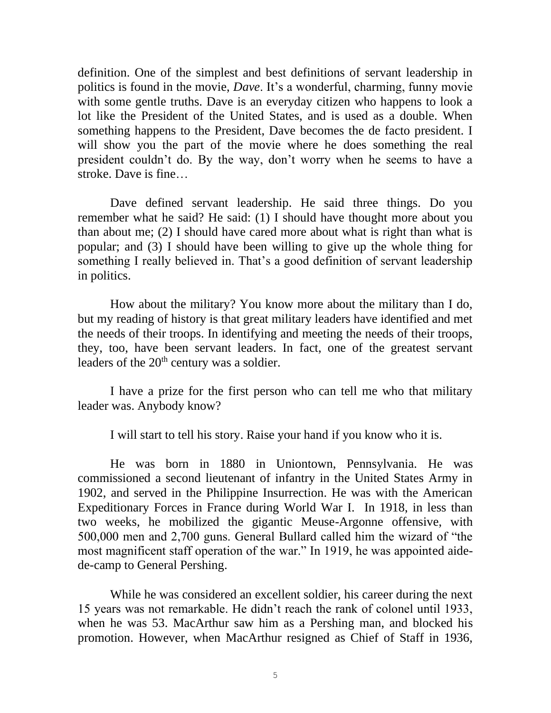definition. One of the simplest and best definitions of servant leadership in politics is found in the movie, *Dave*. It's a wonderful, charming, funny movie with some gentle truths. Dave is an everyday citizen who happens to look a lot like the President of the United States, and is used as a double. When something happens to the President, Dave becomes the de facto president. I will show you the part of the movie where he does something the real president couldn't do. By the way, don't worry when he seems to have a stroke. Dave is fine…

Dave defined servant leadership. He said three things. Do you remember what he said? He said: (1) I should have thought more about you than about me; (2) I should have cared more about what is right than what is popular; and (3) I should have been willing to give up the whole thing for something I really believed in. That's a good definition of servant leadership in politics.

How about the military? You know more about the military than I do, but my reading of history is that great military leaders have identified and met the needs of their troops. In identifying and meeting the needs of their troops, they, too, have been servant leaders. In fact, one of the greatest servant leaders of the  $20<sup>th</sup>$  century was a soldier.

I have a prize for the first person who can tell me who that military leader was. Anybody know?

I will start to tell his story. Raise your hand if you know who it is.

He was born in 1880 in Uniontown, Pennsylvania. He was commissioned a second lieutenant of infantry in the United States Army in 1902, and served in the Philippine Insurrection. He was with the American Expeditionary Forces in France during World War I. In 1918, in less than two weeks, he mobilized the gigantic Meuse-Argonne offensive, with 500,000 men and 2,700 guns. General Bullard called him the wizard of "the most magnificent staff operation of the war." In 1919, he was appointed aidede-camp to General Pershing.

While he was considered an excellent soldier, his career during the next 15 years was not remarkable. He didn't reach the rank of colonel until 1933, when he was 53. MacArthur saw him as a Pershing man, and blocked his promotion. However, when MacArthur resigned as Chief of Staff in 1936,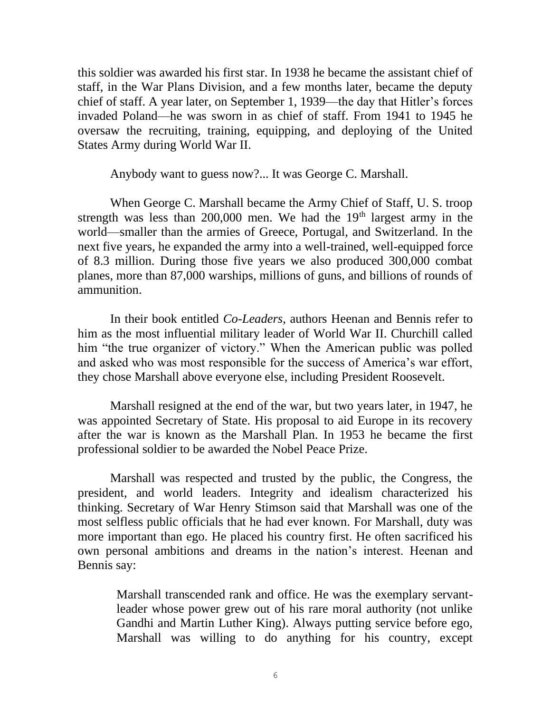this soldier was awarded his first star. In 1938 he became the assistant chief of staff, in the War Plans Division, and a few months later, became the deputy chief of staff. A year later, on September 1, 1939—the day that Hitler's forces invaded Poland—he was sworn in as chief of staff. From 1941 to 1945 he oversaw the recruiting, training, equipping, and deploying of the United States Army during World War II.

Anybody want to guess now?... It was George C. Marshall.

When George C. Marshall became the Army Chief of Staff, U. S. troop strength was less than  $200,000$  men. We had the  $19<sup>th</sup>$  largest army in the world—smaller than the armies of Greece, Portugal, and Switzerland. In the next five years, he expanded the army into a well-trained, well-equipped force of 8.3 million. During those five years we also produced 300,000 combat planes, more than 87,000 warships, millions of guns, and billions of rounds of ammunition.

In their book entitled *Co-Leaders*, authors Heenan and Bennis refer to him as the most influential military leader of World War II. Churchill called him "the true organizer of victory." When the American public was polled and asked who was most responsible for the success of America's war effort, they chose Marshall above everyone else, including President Roosevelt.

Marshall resigned at the end of the war, but two years later, in 1947, he was appointed Secretary of State. His proposal to aid Europe in its recovery after the war is known as the Marshall Plan. In 1953 he became the first professional soldier to be awarded the Nobel Peace Prize.

Marshall was respected and trusted by the public, the Congress, the president, and world leaders. Integrity and idealism characterized his thinking. Secretary of War Henry Stimson said that Marshall was one of the most selfless public officials that he had ever known. For Marshall, duty was more important than ego. He placed his country first. He often sacrificed his own personal ambitions and dreams in the nation's interest. Heenan and Bennis say:

Marshall transcended rank and office. He was the exemplary servantleader whose power grew out of his rare moral authority (not unlike Gandhi and Martin Luther King). Always putting service before ego, Marshall was willing to do anything for his country, except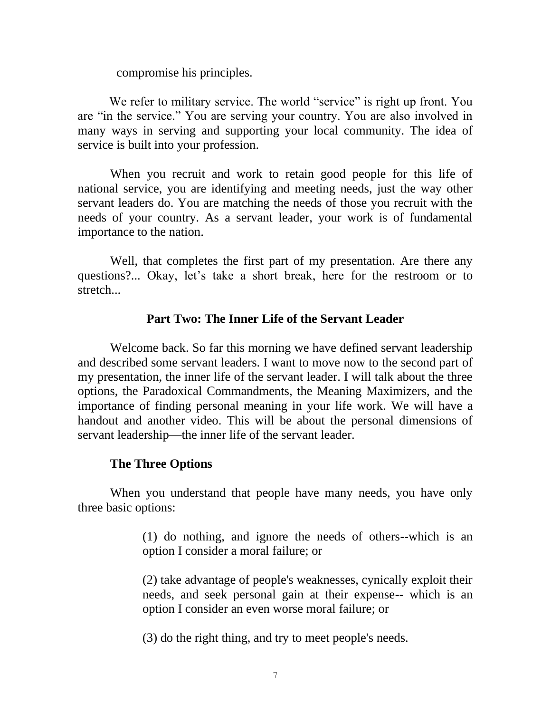compromise his principles.

We refer to military service. The world "service" is right up front. You are "in the service." You are serving your country. You are also involved in many ways in serving and supporting your local community. The idea of service is built into your profession.

When you recruit and work to retain good people for this life of national service, you are identifying and meeting needs, just the way other servant leaders do. You are matching the needs of those you recruit with the needs of your country. As a servant leader, your work is of fundamental importance to the nation.

Well, that completes the first part of my presentation. Are there any questions?... Okay, let's take a short break, here for the restroom or to stretch...

# **Part Two: The Inner Life of the Servant Leader**

Welcome back. So far this morning we have defined servant leadership and described some servant leaders. I want to move now to the second part of my presentation, the inner life of the servant leader. I will talk about the three options, the Paradoxical Commandments, the Meaning Maximizers, and the importance of finding personal meaning in your life work. We will have a handout and another video. This will be about the personal dimensions of servant leadership—the inner life of the servant leader.

# **The Three Options**

When you understand that people have many needs, you have only three basic options:

> (1) do nothing, and ignore the needs of others--which is an option I consider a moral failure; or

> (2) take advantage of people's weaknesses, cynically exploit their needs, and seek personal gain at their expense-- which is an option I consider an even worse moral failure; or

(3) do the right thing, and try to meet people's needs.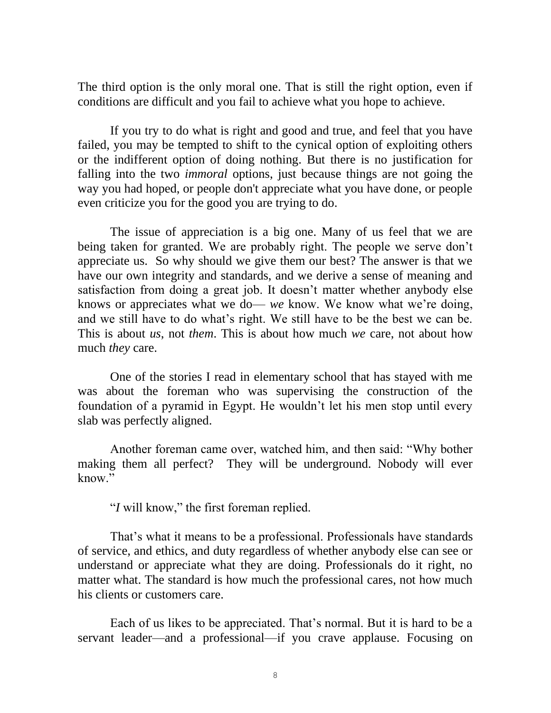The third option is the only moral one. That is still the right option, even if conditions are difficult and you fail to achieve what you hope to achieve.

If you try to do what is right and good and true, and feel that you have failed, you may be tempted to shift to the cynical option of exploiting others or the indifferent option of doing nothing. But there is no justification for falling into the two *immoral* options, just because things are not going the way you had hoped, or people don't appreciate what you have done, or people even criticize you for the good you are trying to do.

The issue of appreciation is a big one. Many of us feel that we are being taken for granted. We are probably right. The people we serve don't appreciate us. So why should we give them our best? The answer is that we have our own integrity and standards, and we derive a sense of meaning and satisfaction from doing a great job. It doesn't matter whether anybody else knows or appreciates what we do— *we* know. We know what we're doing, and we still have to do what's right. We still have to be the best we can be. This is about *us*, not *them*. This is about how much *we* care, not about how much *they* care.

One of the stories I read in elementary school that has stayed with me was about the foreman who was supervising the construction of the foundation of a pyramid in Egypt. He wouldn't let his men stop until every slab was perfectly aligned.

Another foreman came over, watched him, and then said: "Why bother making them all perfect? They will be underground. Nobody will ever know."

"*I* will know," the first foreman replied.

That's what it means to be a professional. Professionals have standards of service, and ethics, and duty regardless of whether anybody else can see or understand or appreciate what they are doing. Professionals do it right, no matter what. The standard is how much the professional cares, not how much his clients or customers care.

Each of us likes to be appreciated. That's normal. But it is hard to be a servant leader—and a professional—if you crave applause. Focusing on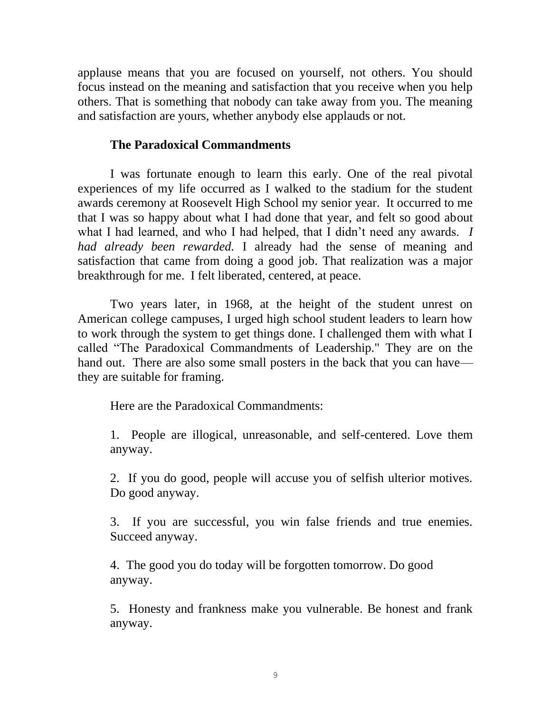applause means that you are focused on yourself, not others. You should focus instead on the meaning and satisfaction that you receive when you help others. That is something that nobody can take away from you. The meaning and satisfaction are yours, whether anybody else applauds or not.

## **The Paradoxical Commandments**

I was fortunate enough to learn this early. One of the real pivotal experiences of my life occurred as I walked to the stadium for the student awards ceremony at Roosevelt High School my senior year. It occurred to me that I was so happy about what I had done that year, and felt so good about what I had learned, and who I had helped, that I didn't need any awards. *I had already been rewarded.* I already had the sense of meaning and satisfaction that came from doing a good job. That realization was a major breakthrough for me. I felt liberated, centered, at peace.

Two years later, in 1968, at the height of the student unrest on American college campuses, I urged high school student leaders to learn how to work through the system to get things done. I challenged them with what I called "The Paradoxical Commandments of Leadership." They are on the hand out. There are also some small posters in the back that you can have they are suitable for framing.

Here are the Paradoxical Commandments:

1. People are illogical, unreasonable, and self-centered. Love them anyway.

2. If you do good, people will accuse you of selfish ulterior motives. Do good anyway.

3. If you are successful, you win false friends and true enemies. Succeed anyway.

4. The good you do today will be forgotten tomorrow. Do good anyway.

5. Honesty and frankness make you vulnerable. Be honest and frank anyway.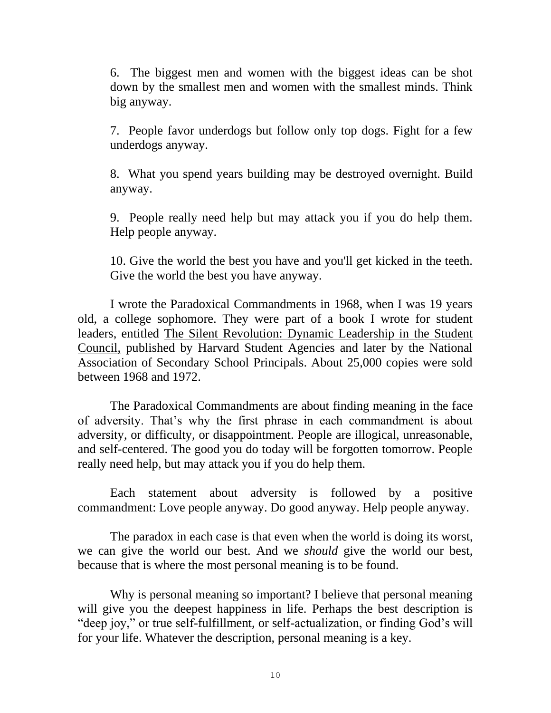6. The biggest men and women with the biggest ideas can be shot down by the smallest men and women with the smallest minds. Think big anyway.

7. People favor underdogs but follow only top dogs. Fight for a few underdogs anyway.

8. What you spend years building may be destroyed overnight. Build anyway.

9. People really need help but may attack you if you do help them. Help people anyway.

10. Give the world the best you have and you'll get kicked in the teeth. Give the world the best you have anyway.

I wrote the Paradoxical Commandments in 1968, when I was 19 years old, a college sophomore. They were part of a book I wrote for student leaders, entitled The Silent Revolution: Dynamic Leadership in the Student Council, published by Harvard Student Agencies and later by the National Association of Secondary School Principals. About 25,000 copies were sold between 1968 and 1972.

The Paradoxical Commandments are about finding meaning in the face of adversity. That's why the first phrase in each commandment is about adversity, or difficulty, or disappointment. People are illogical, unreasonable, and self-centered. The good you do today will be forgotten tomorrow. People really need help, but may attack you if you do help them.

Each statement about adversity is followed by a positive commandment: Love people anyway. Do good anyway. Help people anyway.

The paradox in each case is that even when the world is doing its worst, we can give the world our best. And we *should* give the world our best, because that is where the most personal meaning is to be found.

Why is personal meaning so important? I believe that personal meaning will give you the deepest happiness in life. Perhaps the best description is "deep joy," or true self-fulfillment, or self-actualization, or finding God's will for your life. Whatever the description, personal meaning is a key.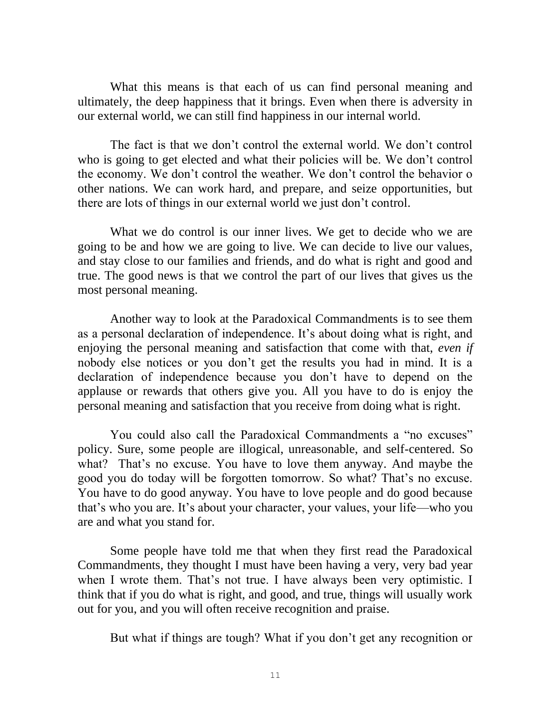What this means is that each of us can find personal meaning and ultimately, the deep happiness that it brings. Even when there is adversity in our external world, we can still find happiness in our internal world.

The fact is that we don't control the external world. We don't control who is going to get elected and what their policies will be. We don't control the economy. We don't control the weather. We don't control the behavior o other nations. We can work hard, and prepare, and seize opportunities, but there are lots of things in our external world we just don't control.

What we do control is our inner lives. We get to decide who we are going to be and how we are going to live. We can decide to live our values, and stay close to our families and friends, and do what is right and good and true. The good news is that we control the part of our lives that gives us the most personal meaning.

Another way to look at the Paradoxical Commandments is to see them as a personal declaration of independence. It's about doing what is right, and enjoying the personal meaning and satisfaction that come with that, *even if* nobody else notices or you don't get the results you had in mind. It is a declaration of independence because you don't have to depend on the applause or rewards that others give you. All you have to do is enjoy the personal meaning and satisfaction that you receive from doing what is right.

You could also call the Paradoxical Commandments a "no excuses" policy. Sure, some people are illogical, unreasonable, and self-centered. So what? That's no excuse. You have to love them anyway. And maybe the good you do today will be forgotten tomorrow. So what? That's no excuse. You have to do good anyway. You have to love people and do good because that's who you are. It's about your character, your values, your life—who you are and what you stand for.

Some people have told me that when they first read the Paradoxical Commandments, they thought I must have been having a very, very bad year when I wrote them. That's not true. I have always been very optimistic. I think that if you do what is right, and good, and true, things will usually work out for you, and you will often receive recognition and praise.

But what if things are tough? What if you don't get any recognition or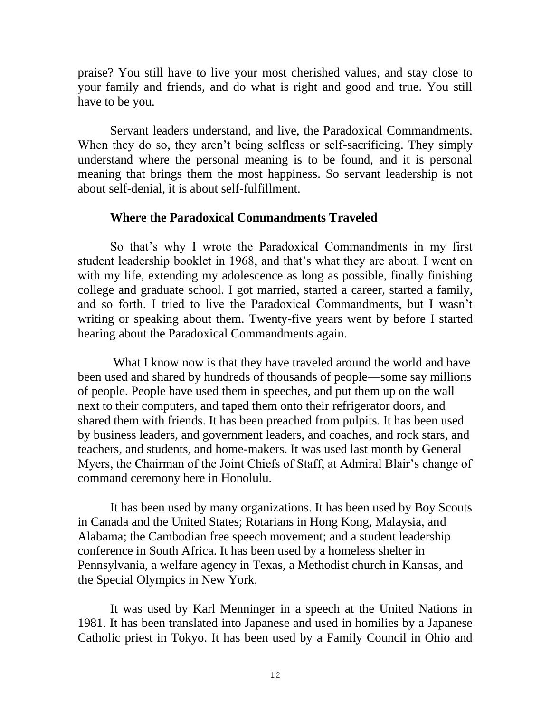praise? You still have to live your most cherished values, and stay close to your family and friends, and do what is right and good and true. You still have to be you.

Servant leaders understand, and live, the Paradoxical Commandments. When they do so, they aren't being selfless or self-sacrificing. They simply understand where the personal meaning is to be found, and it is personal meaning that brings them the most happiness. So servant leadership is not about self-denial, it is about self-fulfillment.

### **Where the Paradoxical Commandments Traveled**

So that's why I wrote the Paradoxical Commandments in my first student leadership booklet in 1968, and that's what they are about. I went on with my life, extending my adolescence as long as possible, finally finishing college and graduate school. I got married, started a career, started a family, and so forth. I tried to live the Paradoxical Commandments, but I wasn't writing or speaking about them. Twenty-five years went by before I started hearing about the Paradoxical Commandments again.

What I know now is that they have traveled around the world and have been used and shared by hundreds of thousands of people—some say millions of people. People have used them in speeches, and put them up on the wall next to their computers, and taped them onto their refrigerator doors, and shared them with friends. It has been preached from pulpits. It has been used by business leaders, and government leaders, and coaches, and rock stars, and teachers, and students, and home-makers. It was used last month by General Myers, the Chairman of the Joint Chiefs of Staff, at Admiral Blair's change of command ceremony here in Honolulu.

It has been used by many organizations. It has been used by Boy Scouts in Canada and the United States; Rotarians in Hong Kong, Malaysia, and Alabama; the Cambodian free speech movement; and a student leadership conference in South Africa. It has been used by a homeless shelter in Pennsylvania, a welfare agency in Texas, a Methodist church in Kansas, and the Special Olympics in New York.

It was used by Karl Menninger in a speech at the United Nations in 1981. It has been translated into Japanese and used in homilies by a Japanese Catholic priest in Tokyo. It has been used by a Family Council in Ohio and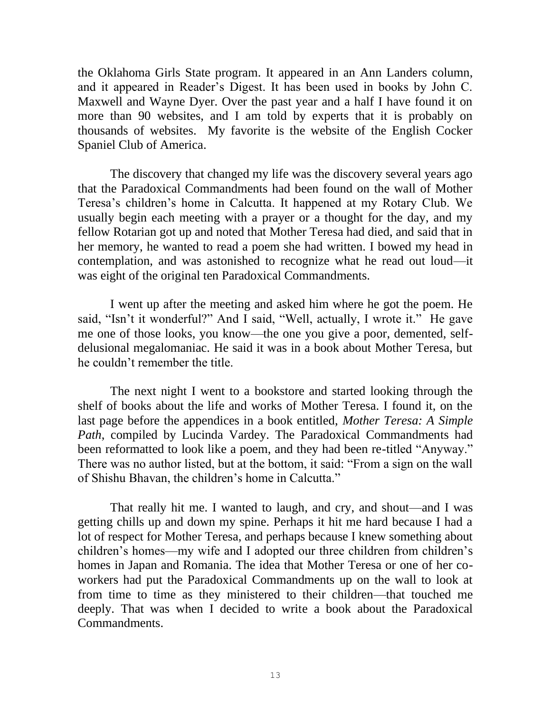the Oklahoma Girls State program. It appeared in an Ann Landers column, and it appeared in Reader's Digest. It has been used in books by John C. Maxwell and Wayne Dyer. Over the past year and a half I have found it on more than 90 websites, and I am told by experts that it is probably on thousands of websites. My favorite is the website of the English Cocker Spaniel Club of America.

The discovery that changed my life was the discovery several years ago that the Paradoxical Commandments had been found on the wall of Mother Teresa's children's home in Calcutta. It happened at my Rotary Club. We usually begin each meeting with a prayer or a thought for the day, and my fellow Rotarian got up and noted that Mother Teresa had died, and said that in her memory, he wanted to read a poem she had written. I bowed my head in contemplation, and was astonished to recognize what he read out loud—it was eight of the original ten Paradoxical Commandments.

I went up after the meeting and asked him where he got the poem. He said, "Isn't it wonderful?" And I said, "Well, actually, I wrote it." He gave me one of those looks, you know—the one you give a poor, demented, selfdelusional megalomaniac. He said it was in a book about Mother Teresa, but he couldn't remember the title.

The next night I went to a bookstore and started looking through the shelf of books about the life and works of Mother Teresa. I found it, on the last page before the appendices in a book entitled, *Mother Teresa: A Simple Path*, compiled by Lucinda Vardey. The Paradoxical Commandments had been reformatted to look like a poem, and they had been re-titled "Anyway." There was no author listed, but at the bottom, it said: "From a sign on the wall of Shishu Bhavan, the children's home in Calcutta."

That really hit me. I wanted to laugh, and cry, and shout—and I was getting chills up and down my spine. Perhaps it hit me hard because I had a lot of respect for Mother Teresa, and perhaps because I knew something about children's homes—my wife and I adopted our three children from children's homes in Japan and Romania. The idea that Mother Teresa or one of her coworkers had put the Paradoxical Commandments up on the wall to look at from time to time as they ministered to their children—that touched me deeply. That was when I decided to write a book about the Paradoxical Commandments.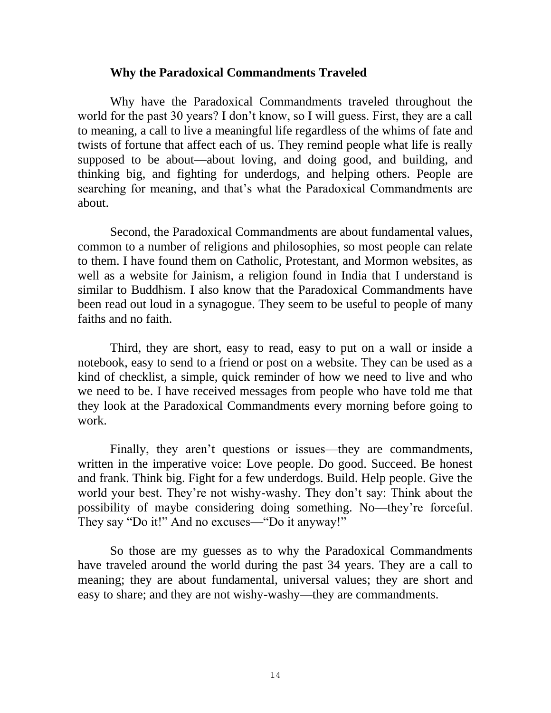### **Why the Paradoxical Commandments Traveled**

Why have the Paradoxical Commandments traveled throughout the world for the past 30 years? I don't know, so I will guess. First, they are a call to meaning, a call to live a meaningful life regardless of the whims of fate and twists of fortune that affect each of us. They remind people what life is really supposed to be about—about loving, and doing good, and building, and thinking big, and fighting for underdogs, and helping others. People are searching for meaning, and that's what the Paradoxical Commandments are about.

Second, the Paradoxical Commandments are about fundamental values, common to a number of religions and philosophies, so most people can relate to them. I have found them on Catholic, Protestant, and Mormon websites, as well as a website for Jainism, a religion found in India that I understand is similar to Buddhism. I also know that the Paradoxical Commandments have been read out loud in a synagogue. They seem to be useful to people of many faiths and no faith.

Third, they are short, easy to read, easy to put on a wall or inside a notebook, easy to send to a friend or post on a website. They can be used as a kind of checklist, a simple, quick reminder of how we need to live and who we need to be. I have received messages from people who have told me that they look at the Paradoxical Commandments every morning before going to work.

Finally, they aren't questions or issues—they are commandments, written in the imperative voice: Love people. Do good. Succeed. Be honest and frank. Think big. Fight for a few underdogs. Build. Help people. Give the world your best. They're not wishy-washy. They don't say: Think about the possibility of maybe considering doing something. No—they're forceful. They say "Do it!" And no excuses—"Do it anyway!"

So those are my guesses as to why the Paradoxical Commandments have traveled around the world during the past 34 years. They are a call to meaning; they are about fundamental, universal values; they are short and easy to share; and they are not wishy-washy—they are commandments.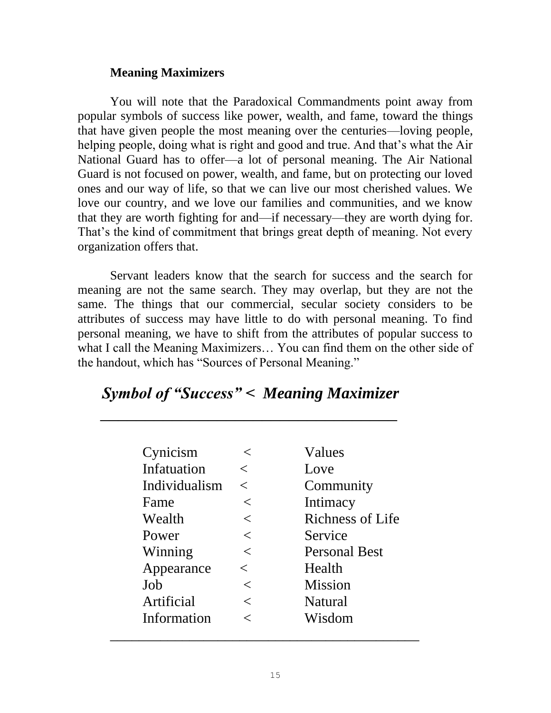## **Meaning Maximizers**

You will note that the Paradoxical Commandments point away from popular symbols of success like power, wealth, and fame, toward the things that have given people the most meaning over the centuries—loving people, helping people, doing what is right and good and true. And that's what the Air National Guard has to offer—a lot of personal meaning. The Air National Guard is not focused on power, wealth, and fame, but on protecting our loved ones and our way of life, so that we can live our most cherished values. We love our country, and we love our families and communities, and we know that they are worth fighting for and—if necessary—they are worth dying for. That's the kind of commitment that brings great depth of meaning. Not every organization offers that.

Servant leaders know that the search for success and the search for meaning are not the same search. They may overlap, but they are not the same. The things that our commercial, secular society considers to be attributes of success may have little to do with personal meaning. To find personal meaning, we have to shift from the attributes of popular success to what I call the Meaning Maximizers… You can find them on the other side of the handout, which has "Sources of Personal Meaning."

| <b>Symbol of "Success" &lt; Meaning Maximizer</b> |  |
|---------------------------------------------------|--|
|                                                   |  |

 $\mathcal{L}=\mathcal{L}=\mathcal{L}=\mathcal{L}=\mathcal{L}=\mathcal{L}=\mathcal{L}=\mathcal{L}=\mathcal{L}=\mathcal{L}=\mathcal{L}=\mathcal{L}=\mathcal{L}=\mathcal{L}=\mathcal{L}=\mathcal{L}=\mathcal{L}=\mathcal{L}=\mathcal{L}=\mathcal{L}=\mathcal{L}=\mathcal{L}=\mathcal{L}=\mathcal{L}=\mathcal{L}=\mathcal{L}=\mathcal{L}=\mathcal{L}=\mathcal{L}=\mathcal{L}=\mathcal{L}=\mathcal{L}=\mathcal{L}=\mathcal{L}=\mathcal{L}=\mathcal{L}=\mathcal{$ 

| Cynicism      |         | Values                  |
|---------------|---------|-------------------------|
| Infatuation   |         | Love                    |
| Individualism | $\lt$   | Community               |
| Fame          | $<\,$   | Intimacy                |
| Wealth        | $\,<\,$ | <b>Richness of Life</b> |
| Power         | $\,<\,$ | Service                 |
| Winning       | $\,<\,$ | <b>Personal Best</b>    |
| Appearance    | $\,<\,$ | Health                  |
| Job           | $\,<\,$ | <b>Mission</b>          |
| Artificial    |         | <b>Natural</b>          |
| Information   | ✓       | Wisdom                  |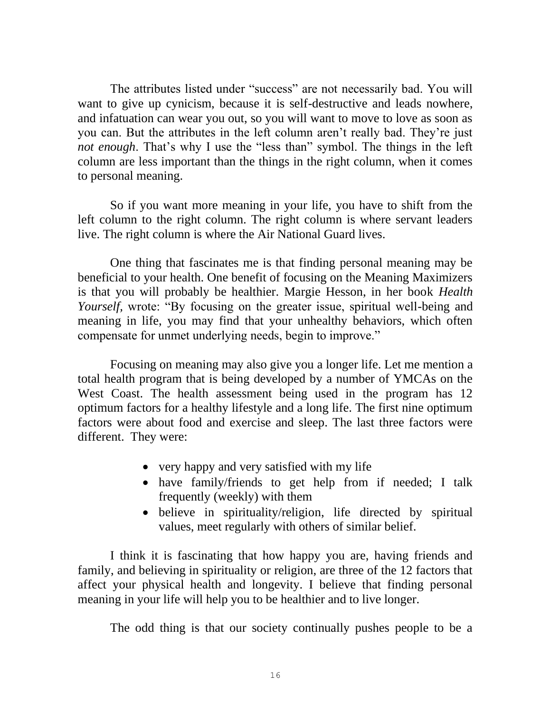The attributes listed under "success" are not necessarily bad. You will want to give up cynicism, because it is self-destructive and leads nowhere, and infatuation can wear you out, so you will want to move to love as soon as you can. But the attributes in the left column aren't really bad. They're just *not enough*. That's why I use the "less than" symbol. The things in the left column are less important than the things in the right column, when it comes to personal meaning.

So if you want more meaning in your life, you have to shift from the left column to the right column. The right column is where servant leaders live. The right column is where the Air National Guard lives.

One thing that fascinates me is that finding personal meaning may be beneficial to your health. One benefit of focusing on the Meaning Maximizers is that you will probably be healthier. Margie Hesson, in her book *Health Yourself,* wrote: "By focusing on the greater issue, spiritual well-being and meaning in life, you may find that your unhealthy behaviors, which often compensate for unmet underlying needs, begin to improve."

Focusing on meaning may also give you a longer life. Let me mention a total health program that is being developed by a number of YMCAs on the West Coast. The health assessment being used in the program has 12 optimum factors for a healthy lifestyle and a long life. The first nine optimum factors were about food and exercise and sleep. The last three factors were different. They were:

- very happy and very satisfied with my life
- have family/friends to get help from if needed; I talk frequently (weekly) with them
- believe in spirituality/religion, life directed by spiritual values, meet regularly with others of similar belief.

I think it is fascinating that how happy you are, having friends and family, and believing in spirituality or religion, are three of the 12 factors that affect your physical health and longevity. I believe that finding personal meaning in your life will help you to be healthier and to live longer.

The odd thing is that our society continually pushes people to be a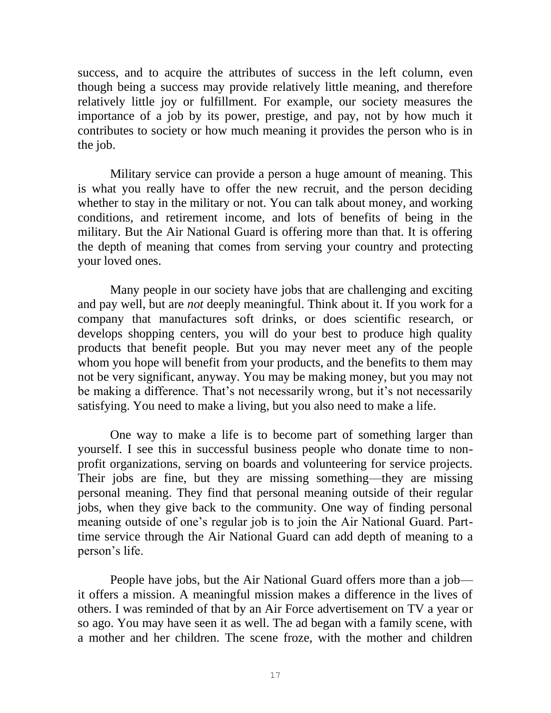success, and to acquire the attributes of success in the left column, even though being a success may provide relatively little meaning, and therefore relatively little joy or fulfillment. For example, our society measures the importance of a job by its power, prestige, and pay, not by how much it contributes to society or how much meaning it provides the person who is in the job.

Military service can provide a person a huge amount of meaning. This is what you really have to offer the new recruit, and the person deciding whether to stay in the military or not. You can talk about money, and working conditions, and retirement income, and lots of benefits of being in the military. But the Air National Guard is offering more than that. It is offering the depth of meaning that comes from serving your country and protecting your loved ones.

Many people in our society have jobs that are challenging and exciting and pay well, but are *not* deeply meaningful. Think about it. If you work for a company that manufactures soft drinks, or does scientific research, or develops shopping centers, you will do your best to produce high quality products that benefit people. But you may never meet any of the people whom you hope will benefit from your products, and the benefits to them may not be very significant, anyway. You may be making money, but you may not be making a difference. That's not necessarily wrong, but it's not necessarily satisfying. You need to make a living, but you also need to make a life.

One way to make a life is to become part of something larger than yourself. I see this in successful business people who donate time to nonprofit organizations, serving on boards and volunteering for service projects. Their jobs are fine, but they are missing something—they are missing personal meaning. They find that personal meaning outside of their regular jobs, when they give back to the community. One way of finding personal meaning outside of one's regular job is to join the Air National Guard. Parttime service through the Air National Guard can add depth of meaning to a person's life.

People have jobs, but the Air National Guard offers more than a job it offers a mission. A meaningful mission makes a difference in the lives of others. I was reminded of that by an Air Force advertisement on TV a year or so ago. You may have seen it as well. The ad began with a family scene, with a mother and her children. The scene froze, with the mother and children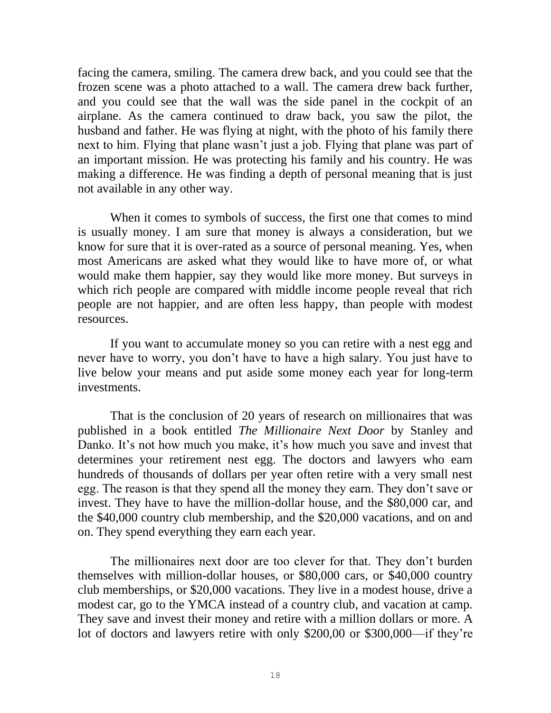facing the camera, smiling. The camera drew back, and you could see that the frozen scene was a photo attached to a wall. The camera drew back further, and you could see that the wall was the side panel in the cockpit of an airplane. As the camera continued to draw back, you saw the pilot, the husband and father. He was flying at night, with the photo of his family there next to him. Flying that plane wasn't just a job. Flying that plane was part of an important mission. He was protecting his family and his country. He was making a difference. He was finding a depth of personal meaning that is just not available in any other way.

When it comes to symbols of success, the first one that comes to mind is usually money. I am sure that money is always a consideration, but we know for sure that it is over-rated as a source of personal meaning. Yes, when most Americans are asked what they would like to have more of, or what would make them happier, say they would like more money. But surveys in which rich people are compared with middle income people reveal that rich people are not happier, and are often less happy, than people with modest resources.

If you want to accumulate money so you can retire with a nest egg and never have to worry, you don't have to have a high salary. You just have to live below your means and put aside some money each year for long-term investments.

That is the conclusion of 20 years of research on millionaires that was published in a book entitled *The Millionaire Next Door* by Stanley and Danko. It's not how much you make, it's how much you save and invest that determines your retirement nest egg. The doctors and lawyers who earn hundreds of thousands of dollars per year often retire with a very small nest egg. The reason is that they spend all the money they earn. They don't save or invest. They have to have the million-dollar house, and the \$80,000 car, and the \$40,000 country club membership, and the \$20,000 vacations, and on and on. They spend everything they earn each year.

The millionaires next door are too clever for that. They don't burden themselves with million-dollar houses, or \$80,000 cars, or \$40,000 country club memberships, or \$20,000 vacations. They live in a modest house, drive a modest car, go to the YMCA instead of a country club, and vacation at camp. They save and invest their money and retire with a million dollars or more. A lot of doctors and lawyers retire with only \$200,00 or \$300,000—if they're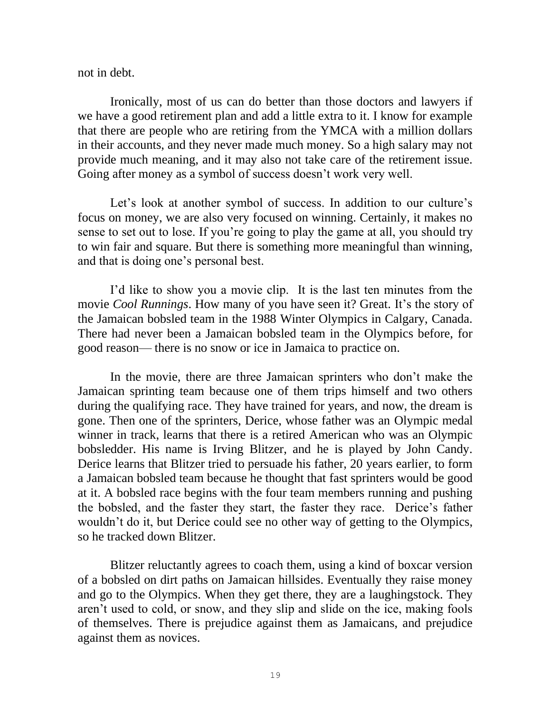not in debt.

Ironically, most of us can do better than those doctors and lawyers if we have a good retirement plan and add a little extra to it. I know for example that there are people who are retiring from the YMCA with a million dollars in their accounts, and they never made much money. So a high salary may not provide much meaning, and it may also not take care of the retirement issue. Going after money as a symbol of success doesn't work very well.

Let's look at another symbol of success. In addition to our culture's focus on money, we are also very focused on winning. Certainly, it makes no sense to set out to lose. If you're going to play the game at all, you should try to win fair and square. But there is something more meaningful than winning, and that is doing one's personal best.

I'd like to show you a movie clip. It is the last ten minutes from the movie *Cool Runnings*. How many of you have seen it? Great. It's the story of the Jamaican bobsled team in the 1988 Winter Olympics in Calgary, Canada. There had never been a Jamaican bobsled team in the Olympics before, for good reason— there is no snow or ice in Jamaica to practice on.

In the movie, there are three Jamaican sprinters who don't make the Jamaican sprinting team because one of them trips himself and two others during the qualifying race. They have trained for years, and now, the dream is gone. Then one of the sprinters, Derice, whose father was an Olympic medal winner in track, learns that there is a retired American who was an Olympic bobsledder. His name is Irving Blitzer, and he is played by John Candy. Derice learns that Blitzer tried to persuade his father, 20 years earlier, to form a Jamaican bobsled team because he thought that fast sprinters would be good at it. A bobsled race begins with the four team members running and pushing the bobsled, and the faster they start, the faster they race. Derice's father wouldn't do it, but Derice could see no other way of getting to the Olympics, so he tracked down Blitzer.

Blitzer reluctantly agrees to coach them, using a kind of boxcar version of a bobsled on dirt paths on Jamaican hillsides. Eventually they raise money and go to the Olympics. When they get there, they are a laughingstock. They aren't used to cold, or snow, and they slip and slide on the ice, making fools of themselves. There is prejudice against them as Jamaicans, and prejudice against them as novices.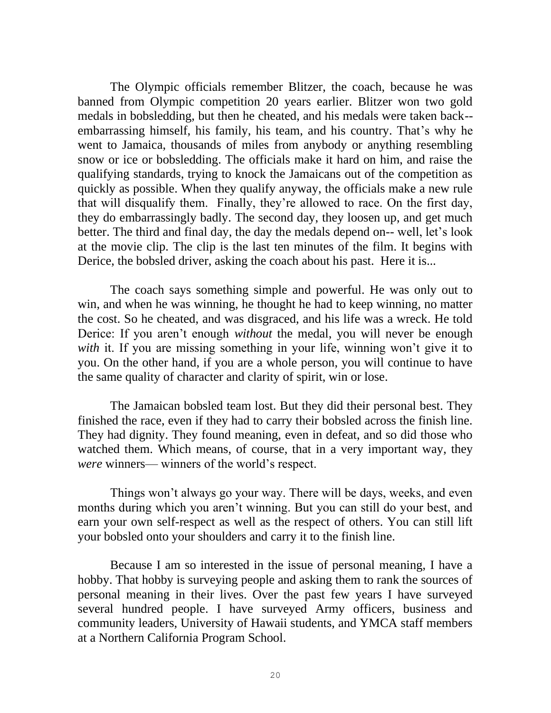The Olympic officials remember Blitzer, the coach, because he was banned from Olympic competition 20 years earlier. Blitzer won two gold medals in bobsledding, but then he cheated, and his medals were taken back- embarrassing himself, his family, his team, and his country. That's why he went to Jamaica, thousands of miles from anybody or anything resembling snow or ice or bobsledding. The officials make it hard on him, and raise the qualifying standards, trying to knock the Jamaicans out of the competition as quickly as possible. When they qualify anyway, the officials make a new rule that will disqualify them. Finally, they're allowed to race. On the first day, they do embarrassingly badly. The second day, they loosen up, and get much better. The third and final day, the day the medals depend on-- well, let's look at the movie clip. The clip is the last ten minutes of the film. It begins with Derice, the bobsled driver, asking the coach about his past. Here it is...

The coach says something simple and powerful. He was only out to win, and when he was winning, he thought he had to keep winning, no matter the cost. So he cheated, and was disgraced, and his life was a wreck. He told Derice: If you aren't enough *without* the medal, you will never be enough *with* it. If you are missing something in your life, winning won't give it to you. On the other hand, if you are a whole person, you will continue to have the same quality of character and clarity of spirit, win or lose.

The Jamaican bobsled team lost. But they did their personal best. They finished the race, even if they had to carry their bobsled across the finish line. They had dignity. They found meaning, even in defeat, and so did those who watched them. Which means, of course, that in a very important way, they *were* winners— winners of the world's respect.

Things won't always go your way. There will be days, weeks, and even months during which you aren't winning. But you can still do your best, and earn your own self-respect as well as the respect of others. You can still lift your bobsled onto your shoulders and carry it to the finish line.

Because I am so interested in the issue of personal meaning, I have a hobby. That hobby is surveying people and asking them to rank the sources of personal meaning in their lives. Over the past few years I have surveyed several hundred people. I have surveyed Army officers, business and community leaders, University of Hawaii students, and YMCA staff members at a Northern California Program School.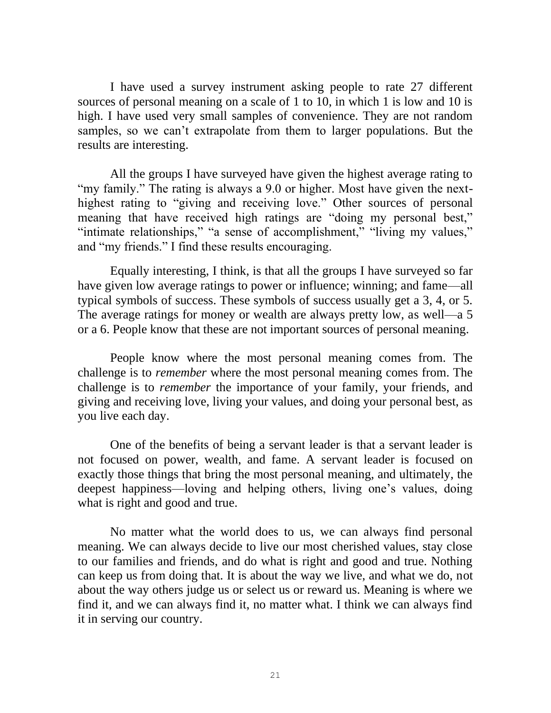I have used a survey instrument asking people to rate 27 different sources of personal meaning on a scale of 1 to 10, in which 1 is low and 10 is high. I have used very small samples of convenience. They are not random samples, so we can't extrapolate from them to larger populations. But the results are interesting.

All the groups I have surveyed have given the highest average rating to "my family." The rating is always a 9.0 or higher. Most have given the nexthighest rating to "giving and receiving love." Other sources of personal meaning that have received high ratings are "doing my personal best," "intimate relationships," "a sense of accomplishment," "living my values," and "my friends." I find these results encouraging.

Equally interesting, I think, is that all the groups I have surveyed so far have given low average ratings to power or influence; winning; and fame—all typical symbols of success. These symbols of success usually get a 3, 4, or 5. The average ratings for money or wealth are always pretty low, as well—a 5 or a 6. People know that these are not important sources of personal meaning.

People know where the most personal meaning comes from. The challenge is to *remember* where the most personal meaning comes from. The challenge is to *remember* the importance of your family, your friends, and giving and receiving love, living your values, and doing your personal best, as you live each day.

One of the benefits of being a servant leader is that a servant leader is not focused on power, wealth, and fame. A servant leader is focused on exactly those things that bring the most personal meaning, and ultimately, the deepest happiness—loving and helping others, living one's values, doing what is right and good and true.

No matter what the world does to us, we can always find personal meaning. We can always decide to live our most cherished values, stay close to our families and friends, and do what is right and good and true. Nothing can keep us from doing that. It is about the way we live, and what we do, not about the way others judge us or select us or reward us. Meaning is where we find it, and we can always find it, no matter what. I think we can always find it in serving our country.